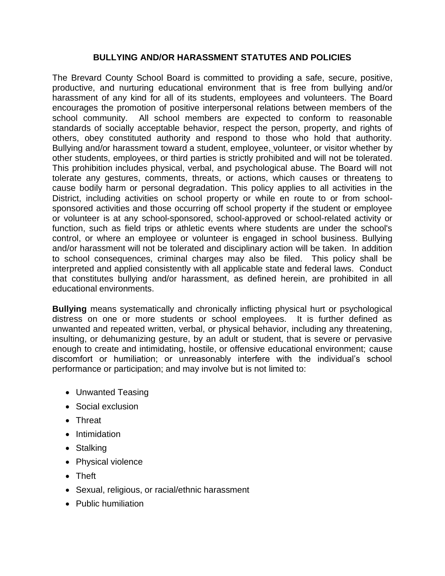#### **BULLYING AND/OR HARASSMENT STATUTES AND POLICIES**

The Brevard County School Board is committed to providing a safe, secure, positive, productive, and nurturing educational environment that is free from bullying and/or harassment of any kind for all of its students, employees and volunteers. The Board encourages the promotion of positive interpersonal relations between members of the school community. All school members are expected to conform to reasonable standards of socially acceptable behavior, respect the person, property, and rights of others, obey constituted authority and respond to those who hold that authority. Bullying and/or harassment toward a student, employee, volunteer, or visitor whether by other students, employees, or third parties is strictly prohibited and will not be tolerated. This prohibition includes physical, verbal, and psychological abuse. The Board will not tolerate any gestures, comments, threats, or actions, which causes or threatens to cause bodily harm or personal degradation. This policy applies to all activities in the District, including activities on school property or while en route to or from schoolsponsored activities and those occurring off school property if the student or employee or volunteer is at any school-sponsored, school-approved or school-related activity or function, such as field trips or athletic events where students are under the school's control, or where an employee or volunteer is engaged in school business. Bullying and/or harassment will not be tolerated and disciplinary action will be taken. In addition to school consequences, criminal charges may also be filed. This policy shall be interpreted and applied consistently with all applicable state and federal laws. Conduct that constitutes bullying and/or harassment, as defined herein, are prohibited in all educational environments.

**Bullying** means systematically and chronically inflicting physical hurt or psychological distress on one or more students or school employees. It is further defined as unwanted and repeated written, verbal, or physical behavior, including any threatening, insulting, or dehumanizing gesture, by an adult or student, that is severe or pervasive enough to create and intimidating, hostile, or offensive educational environment; cause discomfort or humiliation; or unreasonably interfere with the individual's school performance or participation; and may involve but is not limited to:

- Unwanted Teasing
- Social exclusion
- Threat
- Intimidation
- Stalking
- Physical violence
- Theft
- Sexual, religious, or racial/ethnic harassment
- Public humiliation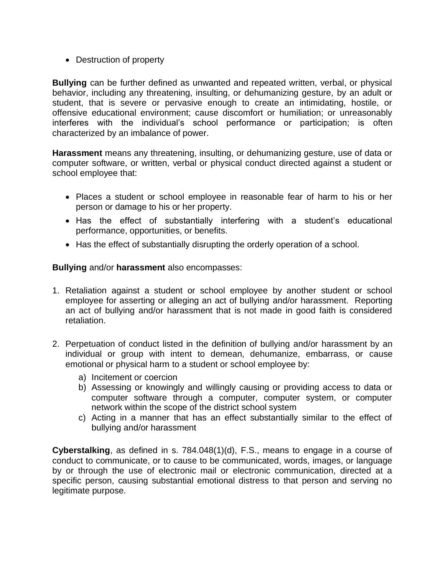• Destruction of property

**Bullying** can be further defined as unwanted and repeated written, verbal, or physical behavior, including any threatening, insulting, or dehumanizing gesture, by an adult or student, that is severe or pervasive enough to create an intimidating, hostile, or offensive educational environment; cause discomfort or humiliation; or unreasonably interferes with the individual's school performance or participation; is often characterized by an imbalance of power.

**Harassment** means any threatening, insulting, or dehumanizing gesture, use of data or computer software, or written, verbal or physical conduct directed against a student or school employee that:

- Places a student or school employee in reasonable fear of harm to his or her person or damage to his or her property.
- Has the effect of substantially interfering with a student's educational performance, opportunities, or benefits.
- Has the effect of substantially disrupting the orderly operation of a school.

**Bullying** and/or **harassment** also encompasses:

- 1. Retaliation against a student or school employee by another student or school employee for asserting or alleging an act of bullying and/or harassment. Reporting an act of bullying and/or harassment that is not made in good faith is considered retaliation.
- 2. Perpetuation of conduct listed in the definition of bullying and/or harassment by an individual or group with intent to demean, dehumanize, embarrass, or cause emotional or physical harm to a student or school employee by:
	- a) Incitement or coercion
	- b) Assessing or knowingly and willingly causing or providing access to data or computer software through a computer, computer system, or computer network within the scope of the district school system
	- c) Acting in a manner that has an effect substantially similar to the effect of bullying and/or harassment

**Cyberstalking**, as defined in s. 784.048(1)(d), F.S., means to engage in a course of conduct to communicate, or to cause to be communicated, words, images, or language by or through the use of electronic mail or electronic communication, directed at a specific person, causing substantial emotional distress to that person and serving no legitimate purpose.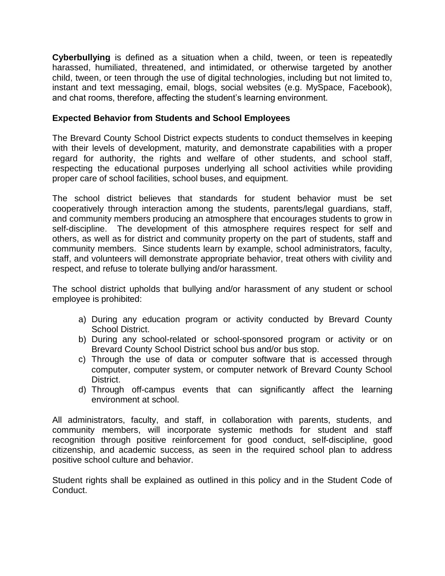**Cyberbullying** is defined as a situation when a child, tween, or teen is repeatedly harassed, humiliated, threatened, and intimidated, or otherwise targeted by another child, tween, or teen through the use of digital technologies, including but not limited to, instant and text messaging, email, blogs, social websites (e.g. MySpace, Facebook), and chat rooms, therefore, affecting the student's learning environment.

### **Expected Behavior from Students and School Employees**

The Brevard County School District expects students to conduct themselves in keeping with their levels of development, maturity, and demonstrate capabilities with a proper regard for authority, the rights and welfare of other students, and school staff, respecting the educational purposes underlying all school activities while providing proper care of school facilities, school buses, and equipment.

The school district believes that standards for student behavior must be set cooperatively through interaction among the students, parents/legal guardians, staff, and community members producing an atmosphere that encourages students to grow in self-discipline. The development of this atmosphere requires respect for self and others, as well as for district and community property on the part of students, staff and community members. Since students learn by example, school administrators, faculty, staff, and volunteers will demonstrate appropriate behavior, treat others with civility and respect, and refuse to tolerate bullying and/or harassment.

The school district upholds that bullying and/or harassment of any student or school employee is prohibited:

- a) During any education program or activity conducted by Brevard County School District.
- b) During any school-related or school-sponsored program or activity or on Brevard County School District school bus and/or bus stop.
- c) Through the use of data or computer software that is accessed through computer, computer system, or computer network of Brevard County School District.
- d) Through off-campus events that can significantly affect the learning environment at school.

All administrators, faculty, and staff, in collaboration with parents, students, and community members, will incorporate systemic methods for student and staff recognition through positive reinforcement for good conduct, self-discipline, good citizenship, and academic success, as seen in the required school plan to address positive school culture and behavior.

Student rights shall be explained as outlined in this policy and in the Student Code of Conduct.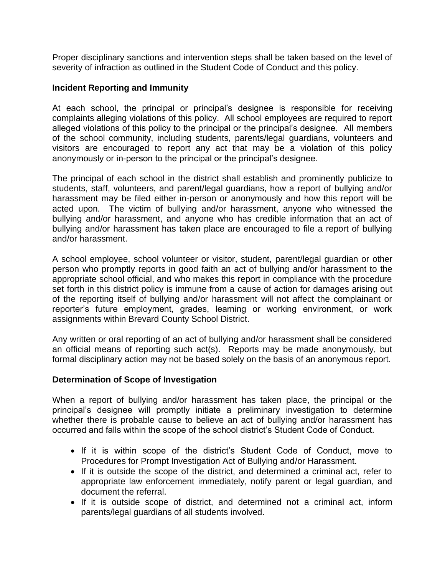Proper disciplinary sanctions and intervention steps shall be taken based on the level of severity of infraction as outlined in the Student Code of Conduct and this policy.

#### **Incident Reporting and Immunity**

At each school, the principal or principal's designee is responsible for receiving complaints alleging violations of this policy. All school employees are required to report alleged violations of this policy to the principal or the principal's designee. All members of the school community, including students, parents/legal guardians, volunteers and visitors are encouraged to report any act that may be a violation of this policy anonymously or in-person to the principal or the principal's designee.

The principal of each school in the district shall establish and prominently publicize to students, staff, volunteers, and parent/legal guardians, how a report of bullying and/or harassment may be filed either in-person or anonymously and how this report will be acted upon. The victim of bullying and/or harassment, anyone who witnessed the bullying and/or harassment, and anyone who has credible information that an act of bullying and/or harassment has taken place are encouraged to file a report of bullying and/or harassment.

A school employee, school volunteer or visitor, student, parent/legal guardian or other person who promptly reports in good faith an act of bullying and/or harassment to the appropriate school official, and who makes this report in compliance with the procedure set forth in this district policy is immune from a cause of action for damages arising out of the reporting itself of bullying and/or harassment will not affect the complainant or reporter's future employment, grades, learning or working environment, or work assignments within Brevard County School District.

Any written or oral reporting of an act of bullying and/or harassment shall be considered an official means of reporting such act(s). Reports may be made anonymously, but formal disciplinary action may not be based solely on the basis of an anonymous report.

#### **Determination of Scope of Investigation**

When a report of bullying and/or harassment has taken place, the principal or the principal's designee will promptly initiate a preliminary investigation to determine whether there is probable cause to believe an act of bullying and/or harassment has occurred and falls within the scope of the school district's Student Code of Conduct.

- If it is within scope of the district's Student Code of Conduct, move to Procedures for Prompt Investigation Act of Bullying and/or Harassment.
- If it is outside the scope of the district, and determined a criminal act, refer to appropriate law enforcement immediately, notify parent or legal guardian, and document the referral.
- If it is outside scope of district, and determined not a criminal act, inform parents/legal guardians of all students involved.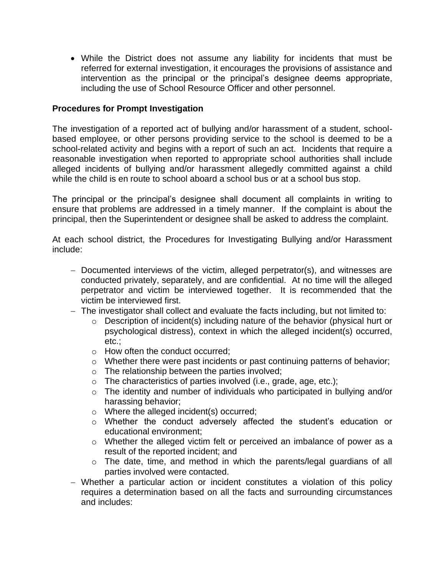• While the District does not assume any liability for incidents that must be referred for external investigation, it encourages the provisions of assistance and intervention as the principal or the principal's designee deems appropriate, including the use of School Resource Officer and other personnel.

#### **Procedures for Prompt Investigation**

The investigation of a reported act of bullying and/or harassment of a student, schoolbased employee, or other persons providing service to the school is deemed to be a school-related activity and begins with a report of such an act. Incidents that require a reasonable investigation when reported to appropriate school authorities shall include alleged incidents of bullying and/or harassment allegedly committed against a child while the child is en route to school aboard a school bus or at a school bus stop.

The principal or the principal's designee shall document all complaints in writing to ensure that problems are addressed in a timely manner. If the complaint is about the principal, then the Superintendent or designee shall be asked to address the complaint.

At each school district, the Procedures for Investigating Bullying and/or Harassment include:

- − Documented interviews of the victim, alleged perpetrator(s), and witnesses are conducted privately, separately, and are confidential. At no time will the alleged perpetrator and victim be interviewed together. It is recommended that the victim be interviewed first.
- − The investigator shall collect and evaluate the facts including, but not limited to:
	- o Description of incident(s) including nature of the behavior (physical hurt or psychological distress), context in which the alleged incident(s) occurred, etc.;
	- o How often the conduct occurred;
	- o Whether there were past incidents or past continuing patterns of behavior;
	- $\circ$  The relationship between the parties involved;
	- $\circ$  The characteristics of parties involved (i.e., grade, age, etc.);
	- o The identity and number of individuals who participated in bullying and/or harassing behavior;
	- o Where the alleged incident(s) occurred;
	- o Whether the conduct adversely affected the student's education or educational environment;
	- o Whether the alleged victim felt or perceived an imbalance of power as a result of the reported incident; and
	- o The date, time, and method in which the parents/legal guardians of all parties involved were contacted.
- − Whether a particular action or incident constitutes a violation of this policy requires a determination based on all the facts and surrounding circumstances and includes: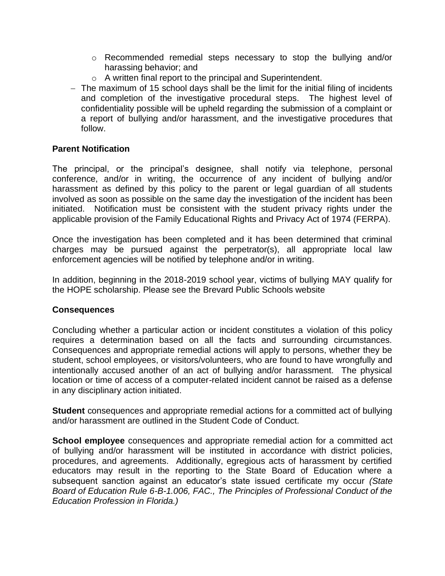- $\circ$  Recommended remedial steps necessary to stop the bullying and/or harassing behavior; and
- o A written final report to the principal and Superintendent.
- − The maximum of 15 school days shall be the limit for the initial filing of incidents and completion of the investigative procedural steps. The highest level of confidentiality possible will be upheld regarding the submission of a complaint or a report of bullying and/or harassment, and the investigative procedures that follow.

#### **Parent Notification**

The principal, or the principal's designee, shall notify via telephone, personal conference, and/or in writing, the occurrence of any incident of bullying and/or harassment as defined by this policy to the parent or legal guardian of all students involved as soon as possible on the same day the investigation of the incident has been initiated. Notification must be consistent with the student privacy rights under the applicable provision of the Family Educational Rights and Privacy Act of 1974 (FERPA).

Once the investigation has been completed and it has been determined that criminal charges may be pursued against the perpetrator(s), all appropriate local law enforcement agencies will be notified by telephone and/or in writing.

In addition, beginning in the 2018-2019 school year, victims of bullying MAY qualify for the HOPE scholarship. Please see the Brevard Public Schools website

#### **Consequences**

Concluding whether a particular action or incident constitutes a violation of this policy requires a determination based on all the facts and surrounding circumstances. Consequences and appropriate remedial actions will apply to persons, whether they be student, school employees, or visitors/volunteers, who are found to have wrongfully and intentionally accused another of an act of bullying and/or harassment. The physical location or time of access of a computer-related incident cannot be raised as a defense in any disciplinary action initiated.

**Student** consequences and appropriate remedial actions for a committed act of bullying and/or harassment are outlined in the Student Code of Conduct.

**School employee** consequences and appropriate remedial action for a committed act of bullying and/or harassment will be instituted in accordance with district policies, procedures, and agreements. Additionally, egregious acts of harassment by certified educators may result in the reporting to the State Board of Education where a subsequent sanction against an educator's state issued certificate my occur *(State Board of Education Rule 6-B-1.006, FAC., The Principles of Professional Conduct of the Education Profession in Florida.)*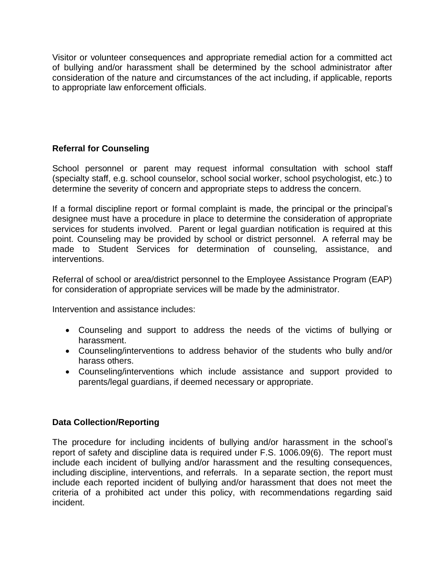Visitor or volunteer consequences and appropriate remedial action for a committed act of bullying and/or harassment shall be determined by the school administrator after consideration of the nature and circumstances of the act including, if applicable, reports to appropriate law enforcement officials.

# **Referral for Counseling**

School personnel or parent may request informal consultation with school staff (specialty staff, e.g. school counselor, school social worker, school psychologist, etc.) to determine the severity of concern and appropriate steps to address the concern.

If a formal discipline report or formal complaint is made, the principal or the principal's designee must have a procedure in place to determine the consideration of appropriate services for students involved. Parent or legal guardian notification is required at this point. Counseling may be provided by school or district personnel. A referral may be made to Student Services for determination of counseling, assistance, and interventions.

Referral of school or area/district personnel to the Employee Assistance Program (EAP) for consideration of appropriate services will be made by the administrator.

Intervention and assistance includes:

- Counseling and support to address the needs of the victims of bullying or harassment.
- Counseling/interventions to address behavior of the students who bully and/or harass others.
- Counseling/interventions which include assistance and support provided to parents/legal guardians, if deemed necessary or appropriate.

# **Data Collection/Reporting**

The procedure for including incidents of bullying and/or harassment in the school's report of safety and discipline data is required under F.S. 1006.09(6). The report must include each incident of bullying and/or harassment and the resulting consequences, including discipline, interventions, and referrals. In a separate section, the report must include each reported incident of bullying and/or harassment that does not meet the criteria of a prohibited act under this policy, with recommendations regarding said incident.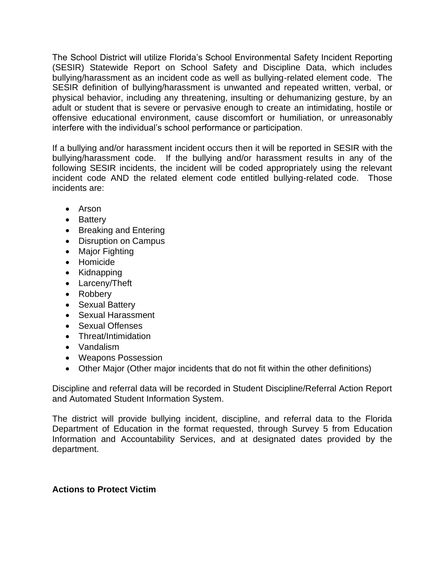The School District will utilize Florida's School Environmental Safety Incident Reporting (SESIR) Statewide Report on School Safety and Discipline Data, which includes bullying/harassment as an incident code as well as bullying-related element code. The SESIR definition of bullying/harassment is unwanted and repeated written, verbal, or physical behavior, including any threatening, insulting or dehumanizing gesture, by an adult or student that is severe or pervasive enough to create an intimidating, hostile or offensive educational environment, cause discomfort or humiliation, or unreasonably interfere with the individual's school performance or participation.

If a bullying and/or harassment incident occurs then it will be reported in SESIR with the bullying/harassment code. If the bullying and/or harassment results in any of the following SESIR incidents, the incident will be coded appropriately using the relevant incident code AND the related element code entitled bullying-related code. Those incidents are:

- Arson
- Battery
- Breaking and Entering
- Disruption on Campus
- Major Fighting
- Homicide
- Kidnapping
- Larceny/Theft
- Robbery
- Sexual Battery
- Sexual Harassment
- Sexual Offenses
- Threat/Intimidation
- Vandalism
- Weapons Possession
- Other Major (Other major incidents that do not fit within the other definitions)

Discipline and referral data will be recorded in Student Discipline/Referral Action Report and Automated Student Information System.

The district will provide bullying incident, discipline, and referral data to the Florida Department of Education in the format requested, through Survey 5 from Education Information and Accountability Services, and at designated dates provided by the department.

#### **Actions to Protect Victim**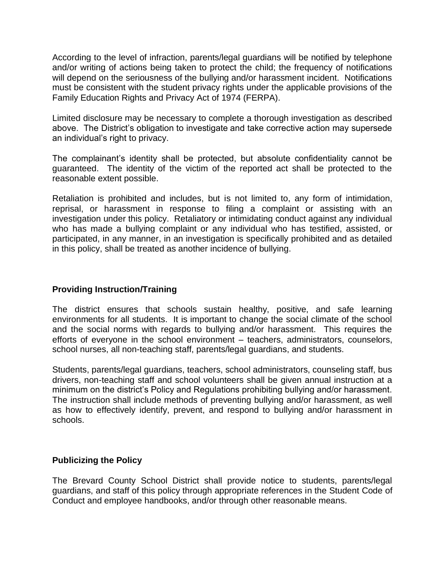According to the level of infraction, parents/legal guardians will be notified by telephone and/or writing of actions being taken to protect the child; the frequency of notifications will depend on the seriousness of the bullying and/or harassment incident. Notifications must be consistent with the student privacy rights under the applicable provisions of the Family Education Rights and Privacy Act of 1974 (FERPA).

Limited disclosure may be necessary to complete a thorough investigation as described above. The District's obligation to investigate and take corrective action may supersede an individual's right to privacy.

The complainant's identity shall be protected, but absolute confidentiality cannot be guaranteed. The identity of the victim of the reported act shall be protected to the reasonable extent possible.

Retaliation is prohibited and includes, but is not limited to, any form of intimidation, reprisal, or harassment in response to filing a complaint or assisting with an investigation under this policy. Retaliatory or intimidating conduct against any individual who has made a bullying complaint or any individual who has testified, assisted, or participated, in any manner, in an investigation is specifically prohibited and as detailed in this policy, shall be treated as another incidence of bullying.

## **Providing Instruction/Training**

The district ensures that schools sustain healthy, positive, and safe learning environments for all students. It is important to change the social climate of the school and the social norms with regards to bullying and/or harassment. This requires the efforts of everyone in the school environment – teachers, administrators, counselors, school nurses, all non-teaching staff, parents/legal guardians, and students.

Students, parents/legal guardians, teachers, school administrators, counseling staff, bus drivers, non-teaching staff and school volunteers shall be given annual instruction at a minimum on the district's Policy and Regulations prohibiting bullying and/or harassment. The instruction shall include methods of preventing bullying and/or harassment, as well as how to effectively identify, prevent, and respond to bullying and/or harassment in schools.

#### **Publicizing the Policy**

The Brevard County School District shall provide notice to students, parents/legal guardians, and staff of this policy through appropriate references in the Student Code of Conduct and employee handbooks, and/or through other reasonable means.